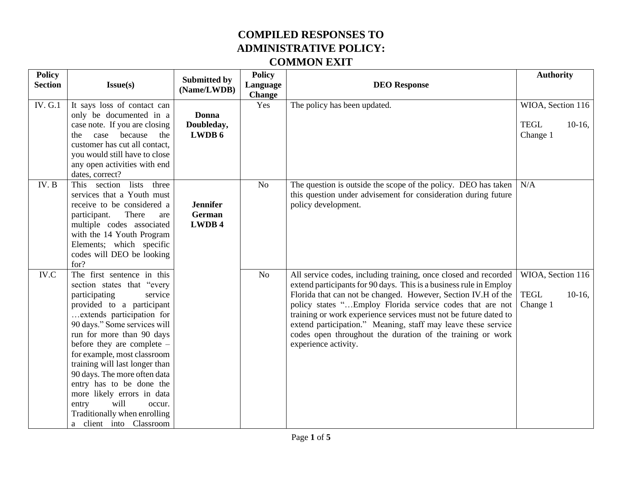| <b>Policy</b><br><b>Section</b> | Issue(s)                                                                                                                                                                                                                                                                                                                                                                                                                                                                                   | <b>Submitted by</b>                 | <b>Policy</b><br>Language | <b>DEO</b> Response                                                                                                                                                                                                                                                                                                                                                                                                                                                                           | <b>Authority</b>                                          |
|---------------------------------|--------------------------------------------------------------------------------------------------------------------------------------------------------------------------------------------------------------------------------------------------------------------------------------------------------------------------------------------------------------------------------------------------------------------------------------------------------------------------------------------|-------------------------------------|---------------------------|-----------------------------------------------------------------------------------------------------------------------------------------------------------------------------------------------------------------------------------------------------------------------------------------------------------------------------------------------------------------------------------------------------------------------------------------------------------------------------------------------|-----------------------------------------------------------|
|                                 |                                                                                                                                                                                                                                                                                                                                                                                                                                                                                            | (Name/LWDB)                         | <b>Change</b>             |                                                                                                                                                                                                                                                                                                                                                                                                                                                                                               |                                                           |
| <b>IV. G.1</b>                  | It says loss of contact can<br>only be documented in a<br>case note. If you are closing<br>because<br>the<br>case<br>the<br>customer has cut all contact,<br>you would still have to close<br>any open activities with end<br>dates, correct?                                                                                                                                                                                                                                              | Donna<br>Doubleday,<br>LWDB 6       | Yes                       | The policy has been updated.                                                                                                                                                                                                                                                                                                                                                                                                                                                                  | WIOA, Section 116<br><b>TEGL</b><br>$10-16$ ,<br>Change 1 |
| IV. B                           | This section lists<br>three<br>services that a Youth must<br>receive to be considered a<br>There<br>participant.<br>are<br>multiple codes associated<br>with the 14 Youth Program<br>Elements; which specific<br>codes will DEO be looking<br>for?                                                                                                                                                                                                                                         | <b>Jennifer</b><br>German<br>LWDB 4 | No                        | The question is outside the scope of the policy. DEO has taken<br>this question under advisement for consideration during future<br>policy development.                                                                                                                                                                                                                                                                                                                                       | N/A                                                       |
| IV.C                            | The first sentence in this<br>section states that "every<br>participating<br>service<br>provided to a participant<br>extends participation for<br>90 days." Some services will<br>run for more than 90 days<br>before they are complete -<br>for example, most classroom<br>training will last longer than<br>90 days. The more often data<br>entry has to be done the<br>more likely errors in data<br>will<br>entry<br>occur.<br>Traditionally when enrolling<br>a client into Classroom |                                     | N <sub>o</sub>            | All service codes, including training, once closed and recorded<br>extend participants for 90 days. This is a business rule in Employ<br>Florida that can not be changed. However, Section IV.H of the<br>policy states "Employ Florida service codes that are not<br>training or work experience services must not be future dated to<br>extend participation." Meaning, staff may leave these service<br>codes open throughout the duration of the training or work<br>experience activity. | WIOA, Section 116<br><b>TEGL</b><br>$10-16$ ,<br>Change 1 |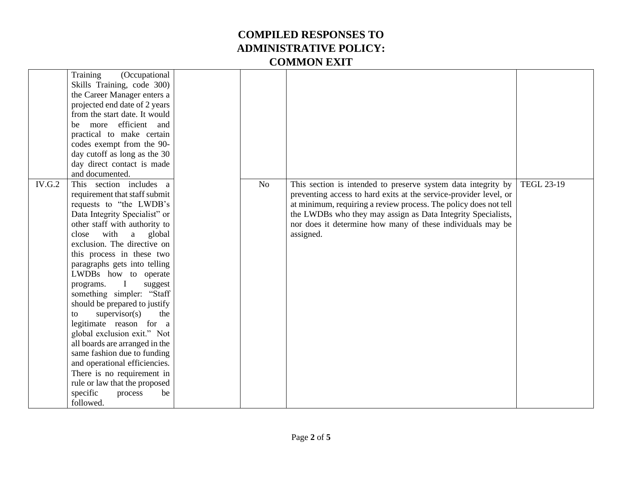|               | Training<br>(Occupational<br>Skills Training, code 300)<br>the Career Manager enters a<br>projected end date of 2 years<br>from the start date. It would<br>efficient and<br>more<br>be<br>practical to make certain<br>codes exempt from the 90-<br>day cutoff as long as the 30<br>day direct contact is made<br>and documented.                                                                                                                                                                                                                                                                                                                                                                            |                |                                                                                                                                                                                                                                                                                                                                                   |                   |
|---------------|---------------------------------------------------------------------------------------------------------------------------------------------------------------------------------------------------------------------------------------------------------------------------------------------------------------------------------------------------------------------------------------------------------------------------------------------------------------------------------------------------------------------------------------------------------------------------------------------------------------------------------------------------------------------------------------------------------------|----------------|---------------------------------------------------------------------------------------------------------------------------------------------------------------------------------------------------------------------------------------------------------------------------------------------------------------------------------------------------|-------------------|
| <b>IV.G.2</b> | This section includes a<br>requirement that staff submit<br>requests to "the LWDB's<br>Data Integrity Specialist" or<br>other staff with authority to<br>with<br>$\mathbf{a}$<br>close<br>global<br>exclusion. The directive on<br>this process in these two<br>paragraphs gets into telling<br>LWDBs how to operate<br>programs.<br>suggest<br>something simpler: "Staff<br>should be prepared to justify<br>supervisor(s)<br>the<br>to<br>legitimate reason for a<br>global exclusion exit." Not<br>all boards are arranged in the<br>same fashion due to funding<br>and operational efficiencies.<br>There is no requirement in<br>rule or law that the proposed<br>specific<br>process<br>be<br>followed. | N <sub>o</sub> | This section is intended to preserve system data integrity by<br>preventing access to hard exits at the service-provider level, or<br>at minimum, requiring a review process. The policy does not tell<br>the LWDBs who they may assign as Data Integrity Specialists,<br>nor does it determine how many of these individuals may be<br>assigned. | <b>TEGL 23-19</b> |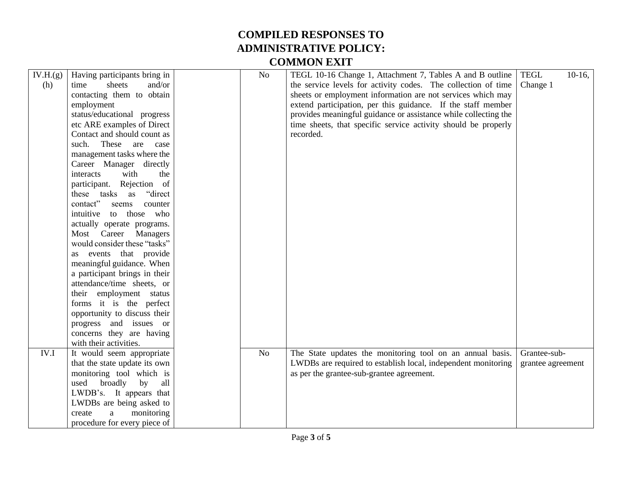| IV.H.(g)<br>(h) | Having participants bring in<br>sheets<br>time<br>and/or<br>contacting them to obtain<br>employment<br>status/educational progress<br>etc ARE examples of Direct<br>Contact and should count as<br>These<br>such.<br>are<br>case<br>management tasks where the<br>Career Manager directly<br>interacts<br>with<br>the<br>participant. Rejection of<br>"direct"<br>these tasks as<br>contact"<br>seems<br>counter<br>intuitive<br>those who<br>to<br>actually operate programs.<br>Most Career<br>Managers<br>would consider these "tasks"<br>as events that provide<br>meaningful guidance. When<br>a participant brings in their<br>attendance/time sheets, or<br>their employment status<br>forms it is the perfect<br>opportunity to discuss their | N <sub>o</sub> | TEGL 10-16 Change 1, Attachment 7, Tables A and B outline<br>the service levels for activity codes. The collection of time<br>sheets or employment information are not services which may<br>extend participation, per this guidance. If the staff member<br>provides meaningful guidance or assistance while collecting the<br>time sheets, that specific service activity should be properly<br>recorded. | <b>TEGL</b><br>$10-16$ ,<br>Change 1 |
|-----------------|-------------------------------------------------------------------------------------------------------------------------------------------------------------------------------------------------------------------------------------------------------------------------------------------------------------------------------------------------------------------------------------------------------------------------------------------------------------------------------------------------------------------------------------------------------------------------------------------------------------------------------------------------------------------------------------------------------------------------------------------------------|----------------|-------------------------------------------------------------------------------------------------------------------------------------------------------------------------------------------------------------------------------------------------------------------------------------------------------------------------------------------------------------------------------------------------------------|--------------------------------------|
|                 | progress and issues or                                                                                                                                                                                                                                                                                                                                                                                                                                                                                                                                                                                                                                                                                                                                |                |                                                                                                                                                                                                                                                                                                                                                                                                             |                                      |
|                 | concerns they are having<br>with their activities.                                                                                                                                                                                                                                                                                                                                                                                                                                                                                                                                                                                                                                                                                                    |                |                                                                                                                                                                                                                                                                                                                                                                                                             |                                      |
| IV.I            | It would seem appropriate<br>that the state update its own<br>monitoring tool which is<br>used<br>broadly<br>by<br>all<br>LWDB's. It appears that<br>LWDBs are being asked to<br>monitoring<br>create<br>a                                                                                                                                                                                                                                                                                                                                                                                                                                                                                                                                            | No             | The State updates the monitoring tool on an annual basis.<br>LWDBs are required to establish local, independent monitoring<br>as per the grantee-sub-grantee agreement.                                                                                                                                                                                                                                     | Grantee-sub-<br>grantee agreement    |
|                 | procedure for every piece of                                                                                                                                                                                                                                                                                                                                                                                                                                                                                                                                                                                                                                                                                                                          |                |                                                                                                                                                                                                                                                                                                                                                                                                             |                                      |